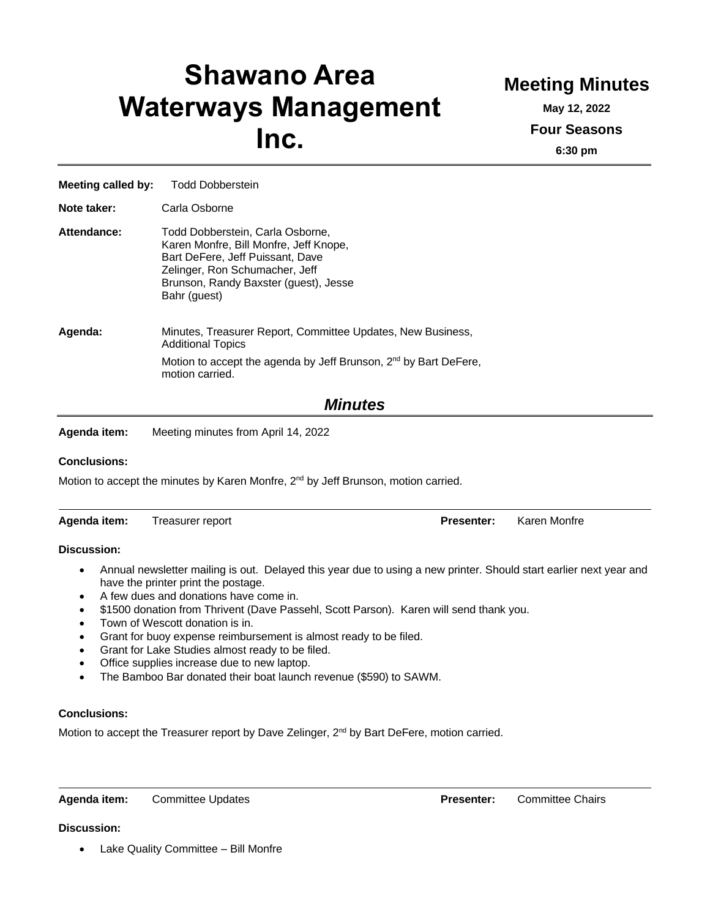# **Shawano Area Waterways Management Inc.**

## **Meeting Minutes**

**May 12, 2022 Four Seasons 6:30 pm**

| <b>Meeting called by:</b> | <b>Todd Dobberstein</b>                                                                                                                                                                                   |  |  |
|---------------------------|-----------------------------------------------------------------------------------------------------------------------------------------------------------------------------------------------------------|--|--|
| Note taker:               | Carla Osborne                                                                                                                                                                                             |  |  |
| Attendance:               | Todd Dobberstein, Carla Osborne,<br>Karen Monfre, Bill Monfre, Jeff Knope,<br>Bart DeFere, Jeff Puissant, Dave<br>Zelinger, Ron Schumacher, Jeff<br>Brunson, Randy Baxster (guest), Jesse<br>Bahr (guest) |  |  |
| Agenda:                   | Minutes, Treasurer Report, Committee Updates, New Business,<br><b>Additional Topics</b><br>Motion to accept the agenda by Jeff Brunson, 2 <sup>nd</sup> by Bart DeFere,<br>motion carried.                |  |  |

### *Minutes*

**Agenda item:** Meeting minutes from April 14, 2022

#### **Conclusions:**

Motion to accept the minutes by Karen Monfre, 2<sup>nd</sup> by Jeff Brunson, motion carried.

| Agenda item: | Treasurer report | <b>Presenter:</b> | Karen Monfre |
|--------------|------------------|-------------------|--------------|
|              |                  |                   |              |

#### **Discussion:**

- Annual newsletter mailing is out. Delayed this year due to using a new printer. Should start earlier next year and have the printer print the postage.
- A few dues and donations have come in.
- \$1500 donation from Thrivent (Dave Passehl, Scott Parson). Karen will send thank you.
- Town of Wescott donation is in.
- Grant for buoy expense reimbursement is almost ready to be filed.
- Grant for Lake Studies almost ready to be filed.
- Office supplies increase due to new laptop.
- The Bamboo Bar donated their boat launch revenue (\$590) to SAWM.

#### **Conclusions:**

Motion to accept the Treasurer report by Dave Zelinger, 2<sup>nd</sup> by Bart DeFere, motion carried.

**Agenda item:** Committee Updates **Presenter:** Committee Chairs

**Discussion:**

• Lake Quality Committee – Bill Monfre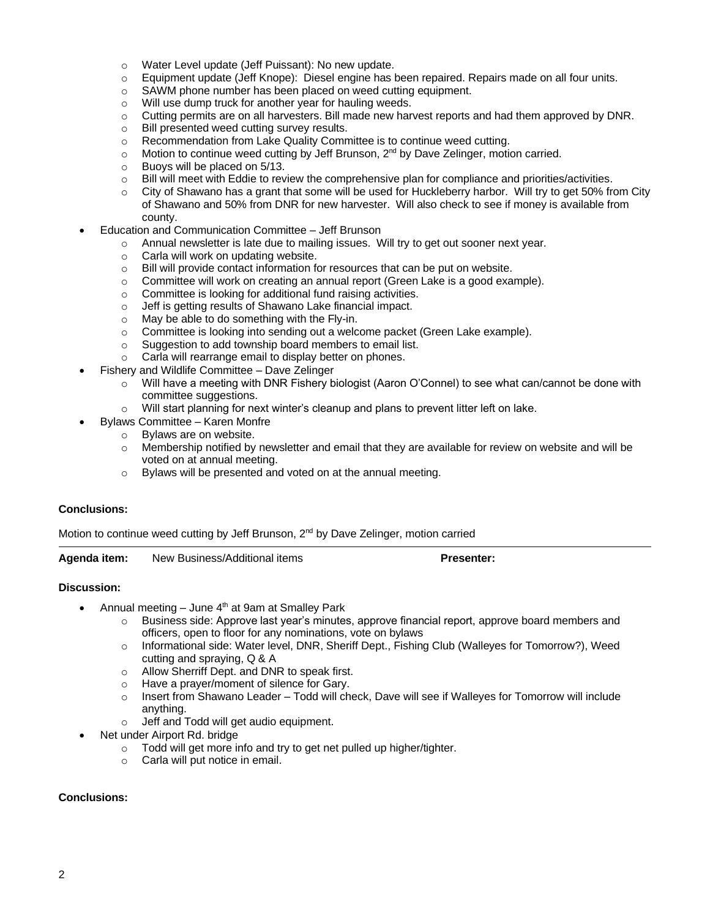- o Water Level update (Jeff Puissant): No new update.
- o Equipment update (Jeff Knope): Diesel engine has been repaired. Repairs made on all four units.
- o SAWM phone number has been placed on weed cutting equipment.
- o Will use dump truck for another year for hauling weeds.
- o Cutting permits are on all harvesters. Bill made new harvest reports and had them approved by DNR.
- o Bill presented weed cutting survey results.
- o Recommendation from Lake Quality Committee is to continue weed cutting.
- $\circ$  Motion to continue weed cutting by Jeff Brunson, 2<sup>nd</sup> by Dave Zelinger, motion carried.
- o Buoys will be placed on 5/13.
- $\circ$  Bill will meet with Eddie to review the comprehensive plan for compliance and priorities/activities.
- $\circ$  City of Shawano has a grant that some will be used for Huckleberry harbor. Will try to get 50% from City of Shawano and 50% from DNR for new harvester. Will also check to see if money is available from county.
- Education and Communication Committee Jeff Brunson
	- $\circ$  Annual newsletter is late due to mailing issues. Will try to get out sooner next year.
	- o Carla will work on updating website.
	- o Bill will provide contact information for resources that can be put on website.
	- $\circ$  Committee will work on creating an annual report (Green Lake is a good example).
	- o Committee is looking for additional fund raising activities.
	- o Jeff is getting results of Shawano Lake financial impact.
	- o May be able to do something with the Fly-in.
	- o Committee is looking into sending out a welcome packet (Green Lake example).
	- o Suggestion to add township board members to email list.
	- o Carla will rearrange email to display better on phones.
- Fishery and Wildlife Committee Dave Zelinger
	- $\circ$  Will have a meeting with DNR Fishery biologist (Aaron O'Connel) to see what can/cannot be done with committee suggestions.
	- o Will start planning for next winter's cleanup and plans to prevent litter left on lake.
	- Bylaws Committee Karen Monfre
	- o Bylaws are on website.
		- $\circ$  Membership notified by newsletter and email that they are available for review on website and will be voted on at annual meeting.
		- o Bylaws will be presented and voted on at the annual meeting.

#### **Conclusions:**

Motion to continue weed cutting by Jeff Brunson,  $2<sup>nd</sup>$  by Dave Zelinger, motion carried

**Agenda item:** New Business/Additional items **Presenter:**

#### **Discussion:**

- Annual meeting  $-$  June  $4<sup>th</sup>$  at 9am at Smalley Park
	- $\circ$  Business side: Approve last year's minutes, approve financial report, approve board members and officers, open to floor for any nominations, vote on bylaws
	- o Informational side: Water level, DNR, Sheriff Dept., Fishing Club (Walleyes for Tomorrow?), Weed cutting and spraying, Q & A
	- o Allow Sherriff Dept. and DNR to speak first.
	- o Have a prayer/moment of silence for Gary.
	- $\circ$  Insert from Shawano Leader Todd will check, Dave will see if Walleyes for Tomorrow will include anything.
	- o Jeff and Todd will get audio equipment.
- Net under Airport Rd. bridge
	- o Todd will get more info and try to get net pulled up higher/tighter.
	- o Carla will put notice in email.

#### **Conclusions:**